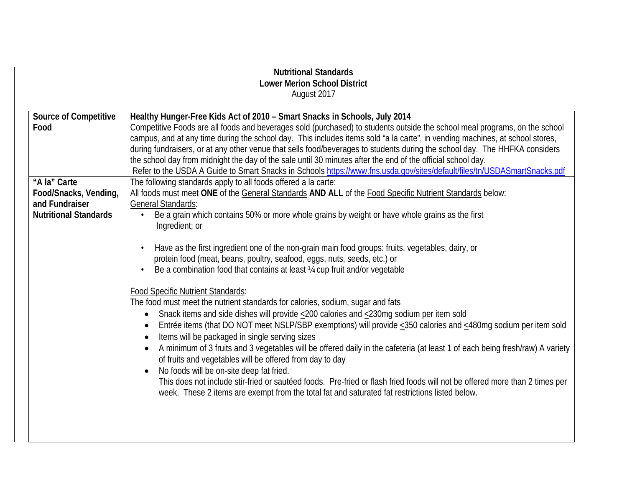## **Nutritional Standards Lower Merion School District** August 2017 **Source of Competitive Food Healthy Hunger-Free Kids Act of 2010 – Smart Snacks in Schools, July 2014** Competitive Foods are all foods and beverages sold (purchased) to students outside the school meal programs, on the school campus, and at any time during the school day. This includes items sold "a la carte", in vending machines, at school stores, during fundraisers, or at any other venue that sells food/beverages to students during the school day. The HHFKA considers the school day from midnight the day of the sale until 30 minutes after the end of the official school day. Refer to the USDA A Guide to Smart Snacks in Schools<https://www.fns.usda.gov/sites/default/files/tn/USDASmartSnacks.pdf> **"A la" Carte Food/Snacks, Vending, and Fundraiser Nutritional Standards** The following standards apply to all foods offered a la carte: All foods must meet **ONE** of the General Standards **AND ALL** of the Food Specific Nutrient Standards below: General Standards: • Be a grain which contains 50% or more whole grains by weight or have whole grains as the first Ingredient; or • Have as the first ingredient one of the non-grain main food groups: fruits, vegetables, dairy, or protein food (meat, beans, poultry, seafood, eggs, nuts, seeds, etc.) or • Be a combination food that contains at least  $\frac{1}{4}$  cup fruit and/or vegetable Food Specific Nutrient Standards: The food must meet the nutrient standards for calories, sodium, sugar and fats • Snack items and side dishes will provide <200 calories and <230mg sodium per item sold • Entrée items (that DO NOT meet NSLP/SBP exemptions) will provide <350 calories and <480mg sodium per item sold • Items will be packaged in single serving sizes • A minimum of 3 fruits and 3 vegetables will be offered daily in the cafeteria (at least 1 of each being fresh/raw) A variety of fruits and vegetables will be offered from day to day • No foods will be on-site deep fat fried. This does not include stir-fried or sautéed foods. Pre-fried or flash fried foods will not be offered more than 2 times per week. These 2 items are exempt from the total fat and saturated fat restrictions listed below.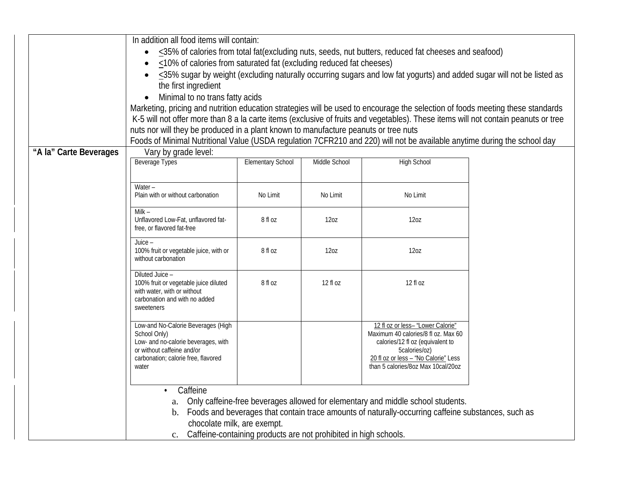|                        | In addition all food items will contain:                                                                                                                                                                                                                                                                                                                    |                          |               |                                                                                                                          |  |  |
|------------------------|-------------------------------------------------------------------------------------------------------------------------------------------------------------------------------------------------------------------------------------------------------------------------------------------------------------------------------------------------------------|--------------------------|---------------|--------------------------------------------------------------------------------------------------------------------------|--|--|
|                        | $\leq$ 35% of calories from total fat(excluding nuts, seeds, nut butters, reduced fat cheeses and seafood)                                                                                                                                                                                                                                                  |                          |               |                                                                                                                          |  |  |
|                        | <10% of calories from saturated fat (excluding reduced fat cheeses)                                                                                                                                                                                                                                                                                         |                          |               |                                                                                                                          |  |  |
|                        | <35% sugar by weight (excluding naturally occurring sugars and low fat yogurts) and added sugar will not be listed as                                                                                                                                                                                                                                       |                          |               |                                                                                                                          |  |  |
|                        | the first ingredient                                                                                                                                                                                                                                                                                                                                        |                          |               |                                                                                                                          |  |  |
|                        | Minimal to no trans fatty acids                                                                                                                                                                                                                                                                                                                             |                          |               |                                                                                                                          |  |  |
|                        | $\bullet$                                                                                                                                                                                                                                                                                                                                                   |                          |               |                                                                                                                          |  |  |
|                        | Marketing, pricing and nutrition education strategies will be used to encourage the selection of foods meeting these standards<br>K-5 will not offer more than 8 a la carte items (exclusive of fruits and vegetables). These items will not contain peanuts or tree<br>nuts nor will they be produced in a plant known to manufacture peanuts or tree nuts |                          |               |                                                                                                                          |  |  |
|                        |                                                                                                                                                                                                                                                                                                                                                             |                          |               |                                                                                                                          |  |  |
|                        |                                                                                                                                                                                                                                                                                                                                                             |                          |               |                                                                                                                          |  |  |
|                        |                                                                                                                                                                                                                                                                                                                                                             |                          |               | Foods of Minimal Nutritional Value (USDA regulation 7CFR210 and 220) will not be available anytime during the school day |  |  |
| "A la" Carte Beverages | Vary by grade level:<br><b>Beverage Types</b>                                                                                                                                                                                                                                                                                                               |                          |               | <b>High School</b>                                                                                                       |  |  |
|                        |                                                                                                                                                                                                                                                                                                                                                             | <b>Elementary School</b> | Middle School |                                                                                                                          |  |  |
|                        |                                                                                                                                                                                                                                                                                                                                                             |                          |               |                                                                                                                          |  |  |
|                        | Water -                                                                                                                                                                                                                                                                                                                                                     |                          |               |                                                                                                                          |  |  |
|                        | Plain with or without carbonation                                                                                                                                                                                                                                                                                                                           | No Limit                 | No Limit      | No Limit                                                                                                                 |  |  |
|                        | Milk $-$                                                                                                                                                                                                                                                                                                                                                    |                          |               |                                                                                                                          |  |  |
|                        | Unflavored Low-Fat, unflavored fat-                                                                                                                                                                                                                                                                                                                         | 8 fl oz                  | 120Z          | 12 <sub>0</sub> z                                                                                                        |  |  |
|                        | free, or flavored fat-free                                                                                                                                                                                                                                                                                                                                  |                          |               |                                                                                                                          |  |  |
|                        | Juice -                                                                                                                                                                                                                                                                                                                                                     |                          |               |                                                                                                                          |  |  |
|                        | 100% fruit or vegetable juice, with or<br>without carbonation                                                                                                                                                                                                                                                                                               | 8 fl oz                  | 120Z          | 120Z                                                                                                                     |  |  |
|                        |                                                                                                                                                                                                                                                                                                                                                             |                          |               |                                                                                                                          |  |  |
|                        | Diluted Juice -                                                                                                                                                                                                                                                                                                                                             |                          |               |                                                                                                                          |  |  |
|                        | 100% fruit or vegetable juice diluted<br>with water, with or without                                                                                                                                                                                                                                                                                        | 8 fl oz                  | 12 fl oz      | 12 fl oz                                                                                                                 |  |  |
|                        | carbonation and with no added                                                                                                                                                                                                                                                                                                                               |                          |               |                                                                                                                          |  |  |
|                        | sweeteners                                                                                                                                                                                                                                                                                                                                                  |                          |               |                                                                                                                          |  |  |
|                        |                                                                                                                                                                                                                                                                                                                                                             |                          |               |                                                                                                                          |  |  |
|                        | Low-and No-Calorie Beverages (High                                                                                                                                                                                                                                                                                                                          |                          |               | 12 fl oz or less- "Lower Calorie"                                                                                        |  |  |
|                        | School Only)<br>Low- and no-calorie beverages, with                                                                                                                                                                                                                                                                                                         |                          |               | Maximum 40 calories/8 fl oz. Max 60<br>calories/12 fl oz (equivalent to                                                  |  |  |
|                        | or without caffeine and/or                                                                                                                                                                                                                                                                                                                                  |                          |               | 5calories/oz)                                                                                                            |  |  |
|                        | carbonation; calorie free, flavored                                                                                                                                                                                                                                                                                                                         |                          |               | 20 fl oz or less - "No Calorie" Less                                                                                     |  |  |
|                        | water                                                                                                                                                                                                                                                                                                                                                       |                          |               | than 5 calories/8oz Max 10cal/20oz                                                                                       |  |  |
|                        |                                                                                                                                                                                                                                                                                                                                                             |                          |               |                                                                                                                          |  |  |
|                        | Caffeine<br>$\bullet$                                                                                                                                                                                                                                                                                                                                       |                          |               |                                                                                                                          |  |  |
|                        |                                                                                                                                                                                                                                                                                                                                                             |                          |               | Only caffeine-free beverages allowed for elementary and middle school students.                                          |  |  |
|                        | b. Foods and beverages that contain trace amounts of naturally-occurring caffeine substances, such as                                                                                                                                                                                                                                                       |                          |               |                                                                                                                          |  |  |
|                        | chocolate milk, are exempt.                                                                                                                                                                                                                                                                                                                                 |                          |               |                                                                                                                          |  |  |
|                        | c. Caffeine-containing products are not prohibited in high schools.                                                                                                                                                                                                                                                                                         |                          |               |                                                                                                                          |  |  |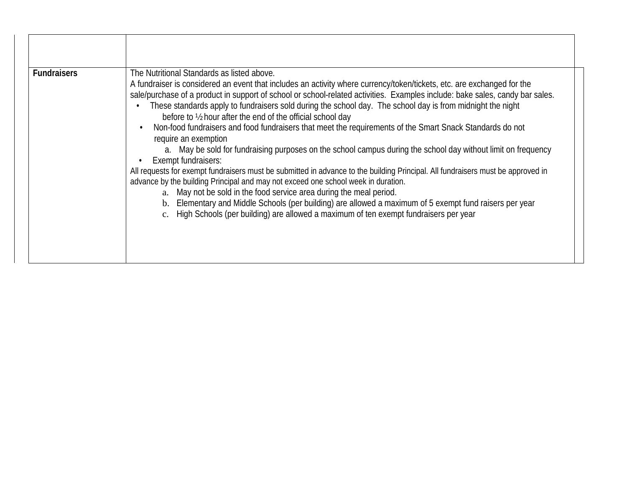| <b>Fundraisers</b> | The Nutritional Standards as listed above.<br>A fundraiser is considered an event that includes an activity where currency/token/tickets, etc. are exchanged for the<br>sale/purchase of a product in support of school or school-related activities. Examples include: bake sales, candy bar sales.<br>These standards apply to fundraisers sold during the school day. The school day is from midnight the night<br>before to 1/2 hour after the end of the official school day<br>Non-food fundraisers and food fundraisers that meet the requirements of the Smart Snack Standards do not<br>require an exemption<br>a. May be sold for fundraising purposes on the school campus during the school day without limit on frequency<br>Exempt fundraisers:<br>All requests for exempt fundraisers must be submitted in advance to the building Principal. All fundraisers must be approved in<br>advance by the building Principal and may not exceed one school week in duration.<br>a. May not be sold in the food service area during the meal period.<br>b. Elementary and Middle Schools (per building) are allowed a maximum of 5 exempt fund raisers per year<br>c. High Schools (per building) are allowed a maximum of ten exempt fundraisers per year |
|--------------------|--------------------------------------------------------------------------------------------------------------------------------------------------------------------------------------------------------------------------------------------------------------------------------------------------------------------------------------------------------------------------------------------------------------------------------------------------------------------------------------------------------------------------------------------------------------------------------------------------------------------------------------------------------------------------------------------------------------------------------------------------------------------------------------------------------------------------------------------------------------------------------------------------------------------------------------------------------------------------------------------------------------------------------------------------------------------------------------------------------------------------------------------------------------------------------------------------------------------------------------------------------------------|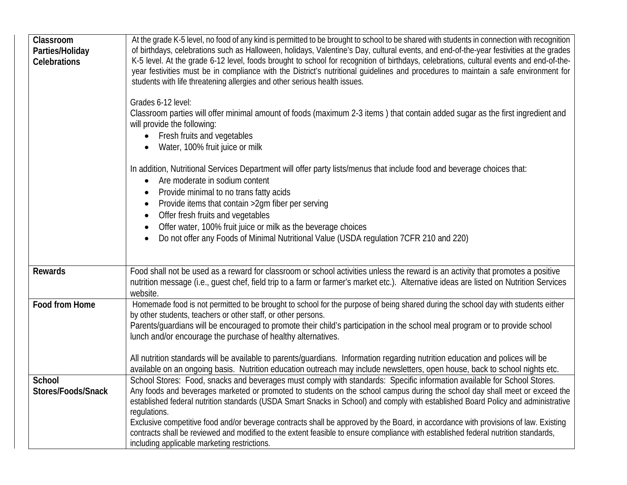| At the grade K-5 level, no food of any kind is permitted to be brought to school to be shared with students in connection with recognition<br>of birthdays, celebrations such as Halloween, holidays, Valentine's Day, cultural events, and end-of-the-year festivities at the grades<br>K-5 level. At the grade 6-12 level, foods brought to school for recognition of birthdays, celebrations, cultural events and end-of-the-<br>year festivities must be in compliance with the District's nutritional guidelines and procedures to maintain a safe environment for<br>students with life threatening allergies and other serious health issues.<br>Grades 6-12 level:<br>Classroom parties will offer minimal amount of foods (maximum 2-3 items) that contain added sugar as the first ingredient and<br>will provide the following:<br>Fresh fruits and vegetables<br>$\bullet$<br>Water, 100% fruit juice or milk<br>In addition, Nutritional Services Department will offer party lists/menus that include food and beverage choices that:<br>Are moderate in sodium content<br>Provide minimal to no trans fatty acids |
|----------------------------------------------------------------------------------------------------------------------------------------------------------------------------------------------------------------------------------------------------------------------------------------------------------------------------------------------------------------------------------------------------------------------------------------------------------------------------------------------------------------------------------------------------------------------------------------------------------------------------------------------------------------------------------------------------------------------------------------------------------------------------------------------------------------------------------------------------------------------------------------------------------------------------------------------------------------------------------------------------------------------------------------------------------------------------------------------------------------------------------|
| Provide items that contain > 2gm fiber per serving<br>$\bullet$<br>Offer fresh fruits and vegetables<br>$\bullet$<br>Offer water, 100% fruit juice or milk as the beverage choices<br>Do not offer any Foods of Minimal Nutritional Value (USDA regulation 7CFR 210 and 220)                                                                                                                                                                                                                                                                                                                                                                                                                                                                                                                                                                                                                                                                                                                                                                                                                                                     |
| Food shall not be used as a reward for classroom or school activities unless the reward is an activity that promotes a positive<br>nutrition message (i.e., guest chef, field trip to a farm or farmer's market etc.). Alternative ideas are listed on Nutrition Services<br>website.                                                                                                                                                                                                                                                                                                                                                                                                                                                                                                                                                                                                                                                                                                                                                                                                                                            |
| Homemade food is not permitted to be brought to school for the purpose of being shared during the school day with students either<br>by other students, teachers or other staff, or other persons.<br>Parents/guardians will be encouraged to promote their child's participation in the school meal program or to provide school<br>lunch and/or encourage the purchase of healthy alternatives.<br>All nutrition standards will be available to parents/guardians. Information regarding nutrition education and polices will be<br>available on an ongoing basis. Nutrition education outreach may include newsletters, open house, back to school nights etc.                                                                                                                                                                                                                                                                                                                                                                                                                                                                |
| School Stores: Food, snacks and beverages must comply with standards: Specific information available for School Stores.                                                                                                                                                                                                                                                                                                                                                                                                                                                                                                                                                                                                                                                                                                                                                                                                                                                                                                                                                                                                          |
| Any foods and beverages marketed or promoted to students on the school campus during the school day shall meet or exceed the<br>established federal nutrition standards (USDA Smart Snacks in School) and comply with established Board Policy and administrative<br>regulations.<br>Exclusive competitive food and/or beverage contracts shall be approved by the Board, in accordance with provisions of law. Existing<br>contracts shall be reviewed and modified to the extent feasible to ensure compliance with established federal nutrition standards,<br>including applicable marketing restrictions.                                                                                                                                                                                                                                                                                                                                                                                                                                                                                                                   |
|                                                                                                                                                                                                                                                                                                                                                                                                                                                                                                                                                                                                                                                                                                                                                                                                                                                                                                                                                                                                                                                                                                                                  |